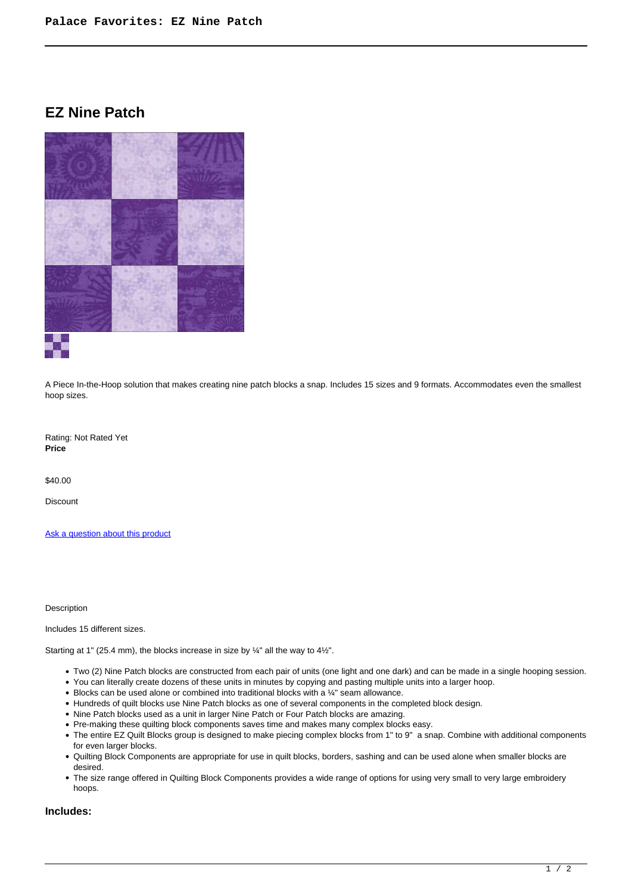# **EZ Nine Patch**



A Piece In-the-Hoop solution that makes creating nine patch blocks a snap. Includes 15 sizes and 9 formats. Accommodates even the smallest hoop sizes.

Rating: Not Rated Yet **Price** 

\$40.00

Discount

[Ask a question about this product](https://www.queenofstitching.com/index.php?option=com_virtuemart&view=productdetails&task=askquestion&virtuemart_product_id=255&virtuemart_category_id=13&tmpl=component)

Description

Includes 15 different sizes.

Starting at 1" (25.4 mm), the blocks increase in size by ¼" all the way to 4½".

- Two (2) Nine Patch blocks are constructed from each pair of units (one light and one dark) and can be made in a single hooping session.
- You can literally create dozens of these units in minutes by copying and pasting multiple units into a larger hoop.
- Blocks can be used alone or combined into traditional blocks with a ¼" seam allowance.
- Hundreds of quilt blocks use Nine Patch blocks as one of several components in the completed block design.
- Nine Patch blocks used as a unit in larger Nine Patch or Four Patch blocks are amazing.
- Pre-making these quilting block components saves time and makes many complex blocks easy.
- The entire EZ Quilt Blocks group is designed to make piecing complex blocks from 1" to 9" a snap. Combine with additional components for even larger blocks.
- Quilting Block Components are appropriate for use in quilt blocks, borders, sashing and can be used alone when smaller blocks are desired.
- The size range offered in Quilting Block Components provides a wide range of options for using very small to very large embroidery hoops.

#### **Includes:**